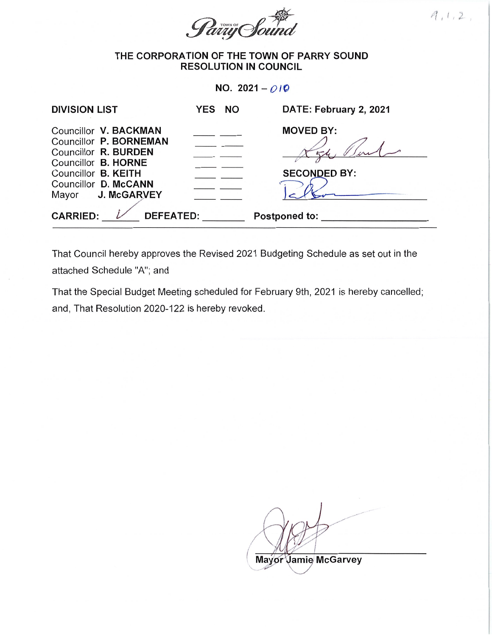

 $A, 1, 2,$ 

## THE CORPORATION OF THE TOWN OF PARRY SOUND RESOLUTION IN COUNCIL

NO. 2021- $O/Q$ 

| <b>DIVISION LIST</b>                                                                                  | YES NO | DATE: February 2, 2021 |
|-------------------------------------------------------------------------------------------------------|--------|------------------------|
| Councillor V. BACKMAN<br>Councillor P. BORNEMAN<br>Councillor R. BURDEN<br>Councillor <b>B. HORNE</b> |        | <b>MOVED BY:</b>       |
| Councillor B. KEITH                                                                                   |        | <b>SECONDED BY:</b>    |
| Councillor D. McCANN                                                                                  |        |                        |
| Mayor J. McGARVEY                                                                                     |        |                        |
| <b>CARRIED:</b><br><b>DEFEATED:</b>                                                                   |        | <b>Postponed to:</b>   |

That Council hereby approves the Revised 2021 Budgeting Schedule as set out in the attached Schedule "A"; and

That the Special Budget Meeting scheduled for February 9th, 2021 is hereby cancelled; and, That Resolution 2020-122 is hereby revoked.

Mayor Jamie McGarvey